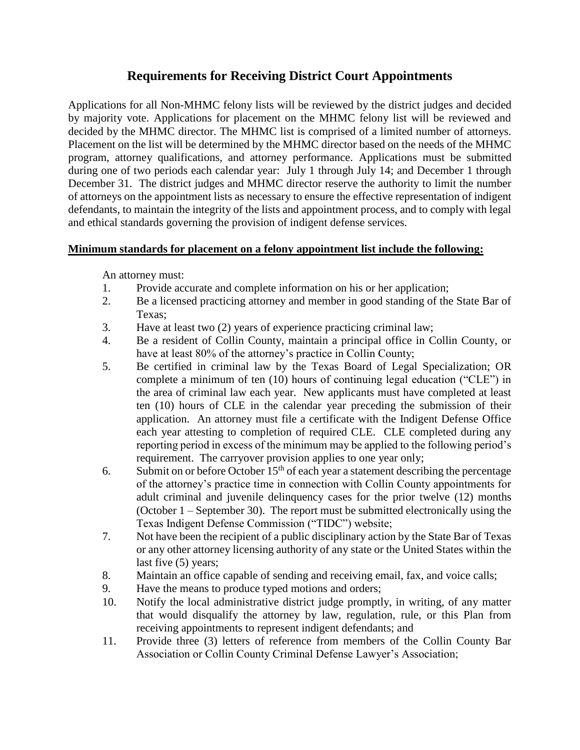# **Requirements for Receiving District Court Appointments**

Applications for all Non-MHMC felony lists will be reviewed by the district judges and decided by majority vote. Applications for placement on the MHMC felony list will be reviewed and decided by the MHMC director. The MHMC list is comprised of a limited number of attorneys. Placement on the list will be determined by the MHMC director based on the needs of the MHMC program, attorney qualifications, and attorney performance. Applications must be submitted during one of two periods each calendar year: July 1 through July 14; and December 1 through December 31. The district judges and MHMC director reserve the authority to limit the number of attorneys on the appointment lists as necessary to ensure the effective representation of indigent defendants, to maintain the integrity of the lists and appointment process, and to comply with legal and ethical standards governing the provision of indigent defense services.

#### **Minimum standards for placement on a felony appointment list include the following:**

An attorney must:

- 1. Provide accurate and complete information on his or her application;
- 2. Be a licensed practicing attorney and member in good standing of the State Bar of Texas;
- 3. Have at least two (2) years of experience practicing criminal law;
- 4. Be a resident of Collin County, maintain a principal office in Collin County, or have at least 80% of the attorney's practice in Collin County;
- 5. Be certified in criminal law by the Texas Board of Legal Specialization; OR complete a minimum of ten (10) hours of continuing legal education ("CLE") in the area of criminal law each year. New applicants must have completed at least ten (10) hours of CLE in the calendar year preceding the submission of their application. An attorney must file a certificate with the Indigent Defense Office each year attesting to completion of required CLE. CLE completed during any reporting period in excess of the minimum may be applied to the following period's requirement. The carryover provision applies to one year only;
- 6. Submit on or before October  $15<sup>th</sup>$  of each year a statement describing the percentage of the attorney's practice time in connection with Collin County appointments for adult criminal and juvenile delinquency cases for the prior twelve (12) months (October 1 – September 30). The report must be submitted electronically using the Texas Indigent Defense Commission ("TIDC") website;
- 7. Not have been the recipient of a public disciplinary action by the State Bar of Texas or any other attorney licensing authority of any state or the United States within the last five (5) years;
- 8. Maintain an office capable of sending and receiving email, fax, and voice calls;
- 9. Have the means to produce typed motions and orders;
- 10. Notify the local administrative district judge promptly, in writing, of any matter that would disqualify the attorney by law, regulation, rule, or this Plan from receiving appointments to represent indigent defendants; and
- 11. Provide three (3) letters of reference from members of the Collin County Bar Association or Collin County Criminal Defense Lawyer's Association;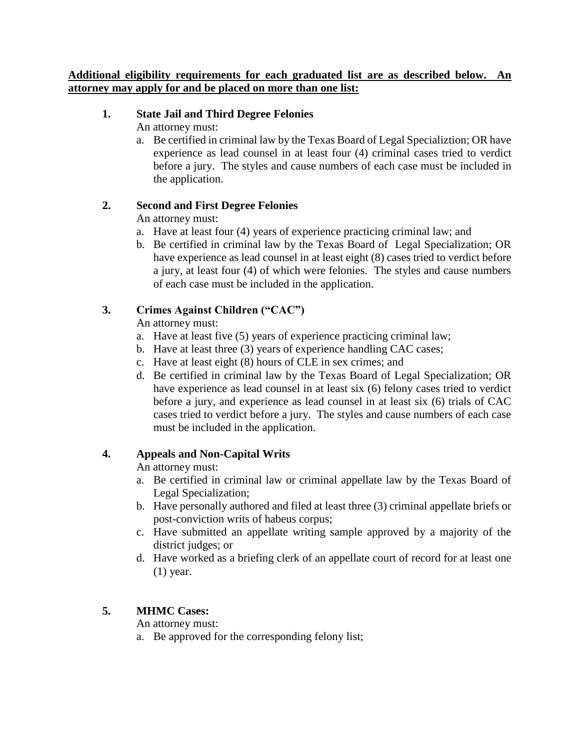#### **Additional eligibility requirements for each graduated list are as described below. An attorney may apply for and be placed on more than one list:**

#### **1. State Jail and Third Degree Felonies**

An attorney must:

a. Be certified in criminal law by the Texas Board of Legal Specializtion; OR have experience as lead counsel in at least four (4) criminal cases tried to verdict before a jury. The styles and cause numbers of each case must be included in the application.

### **2. Second and First Degree Felonies**

An attorney must:

- a. Have at least four (4) years of experience practicing criminal law; and
- b. Be certified in criminal law by the Texas Board of Legal Specialization; OR have experience as lead counsel in at least eight (8) cases tried to verdict before a jury, at least four (4) of which were felonies. The styles and cause numbers of each case must be included in the application.

# **3. Crimes Against Children ("CAC")**

An attorney must:

- a. Have at least five (5) years of experience practicing criminal law;
- b. Have at least three (3) years of experience handling CAC cases;
- c. Have at least eight (8) hours of CLE in sex crimes; and
- d. Be certified in criminal law by the Texas Board of Legal Specialization; OR have experience as lead counsel in at least six (6) felony cases tried to verdict before a jury, and experience as lead counsel in at least six (6) trials of CAC cases tried to verdict before a jury. The styles and cause numbers of each case must be included in the application.

# **4. Appeals and Non-Capital Writs**

An attorney must:

- a. Be certified in criminal law or criminal appellate law by the Texas Board of Legal Specialization;
- b. Have personally authored and filed at least three (3) criminal appellate briefs or post-conviction writs of habeus corpus;
- c. Have submitted an appellate writing sample approved by a majority of the district judges; or
- d. Have worked as a briefing clerk of an appellate court of record for at least one (1) year.

# **5. MHMC Cases:**

An attorney must:

a. Be approved for the corresponding felony list;